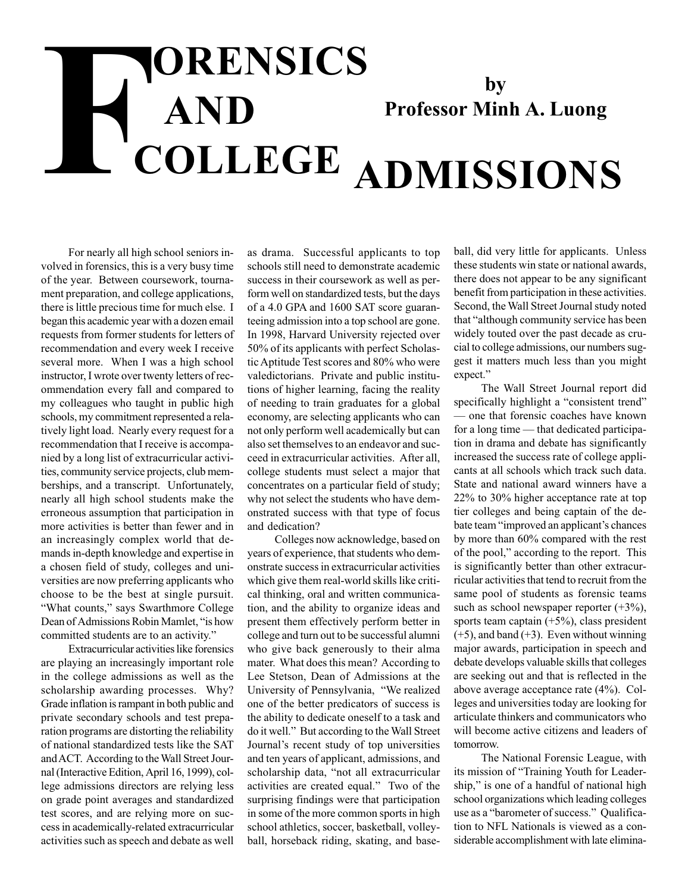## $\begin{tabular}{c} \bf{ORENSICS} \\ \bf{AND} \\ \bf{COLLEGE} \\ \end{tabular}$ **AND COLLEGE by Professor Minh A. Luong ADMISSIONS**

For nearly all high school seniors involved in forensics, this is a very busy time of the year. Between coursework, tournament preparation, and college applications, there is little precious time for much else. I began this academic year with a dozen email requests from former students for letters of recommendation and every week I receive several more. When I was a high school instructor, I wrote over twenty letters of recommendation every fall and compared to my colleagues who taught in public high schools, my commitment represented a relatively light load. Nearly every request for a recommendation that I receive is accompanied by a long list of extracurricular activities, community service projects, club memberships, and a transcript. Unfortunately, nearly all high school students make the erroneous assumption that participation in more activities is better than fewer and in an increasingly complex world that demands in-depth knowledge and expertise in a chosen field of study, colleges and universities are now preferring applicants who choose to be the best at single pursuit. "What counts," says Swarthmore College Dean of Admissions Robin Mamlet, "is how committed students are to an activity."

Extracurricular activities like forensics are playing an increasingly important role in the college admissions as well as the scholarship awarding processes. Why? Grade inflation is rampant in both public and private secondary schools and test preparation programs are distorting the reliability of national standardized tests like the SAT and ACT. According to the Wall Street Journal (Interactive Edition, April 16, 1999), college admissions directors are relying less on grade point averages and standardized test scores, and are relying more on success in academically-related extracurricular activities such as speech and debate as well

as drama. Successful applicants to top schools still need to demonstrate academic success in their coursework as well as perform well on standardized tests, but the days of a 4.0 GPA and 1600 SAT score guaranteeing admission into a top school are gone. In 1998, Harvard University rejected over 50% of its applicants with perfect Scholastic Aptitude Test scores and 80% who were valedictorians. Private and public institutions of higher learning, facing the reality of needing to train graduates for a global economy, are selecting applicants who can not only perform well academically but can also set themselves to an endeavor and succeed in extracurricular activities. After all, college students must select a major that concentrates on a particular field of study; why not select the students who have demonstrated success with that type of focus and dedication?

Colleges now acknowledge, based on years of experience, that students who demonstrate success in extracurricular activities which give them real-world skills like critical thinking, oral and written communication, and the ability to organize ideas and present them effectively perform better in college and turn out to be successful alumni who give back generously to their alma mater. What does this mean? According to Lee Stetson, Dean of Admissions at the University of Pennsylvania, "We realized one of the better predicators of success is the ability to dedicate oneself to a task and do it well." But according to the Wall Street Journal's recent study of top universities and ten years of applicant, admissions, and scholarship data, "not all extracurricular activities are created equal." Two of the surprising findings were that participation in some of the more common sports in high school athletics, soccer, basketball, volleyball, horseback riding, skating, and baseball, did very little for applicants. Unless these students win state or national awards, there does not appear to be any significant benefit from participation in these activities. Second, the Wall Street Journal study noted that "although community service has been widely touted over the past decade as crucial to college admissions, our numbers suggest it matters much less than you might expect."

The Wall Street Journal report did specifically highlight a "consistent trend" — one that forensic coaches have known for a long time — that dedicated participation in drama and debate has significantly increased the success rate of college applicants at all schools which track such data. State and national award winners have a 22% to 30% higher acceptance rate at top tier colleges and being captain of the debate team "improved an applicant's chances by more than 60% compared with the rest of the pool," according to the report. This is significantly better than other extracurricular activities that tend to recruit from the same pool of students as forensic teams such as school newspaper reporter  $(+3%)$ , sports team captain  $(+5%)$ , class president  $(+5)$ , and band  $(+3)$ . Even without winning major awards, participation in speech and debate develops valuable skills that colleges are seeking out and that is reflected in the above average acceptance rate (4%). Colleges and universities today are looking for articulate thinkers and communicators who will become active citizens and leaders of tomorrow.

The National Forensic League, with its mission of "Training Youth for Leadership," is one of a handful of national high school organizations which leading colleges use as a "barometer of success." Qualification to NFL Nationals is viewed as a considerable accomplishment with late elimina-